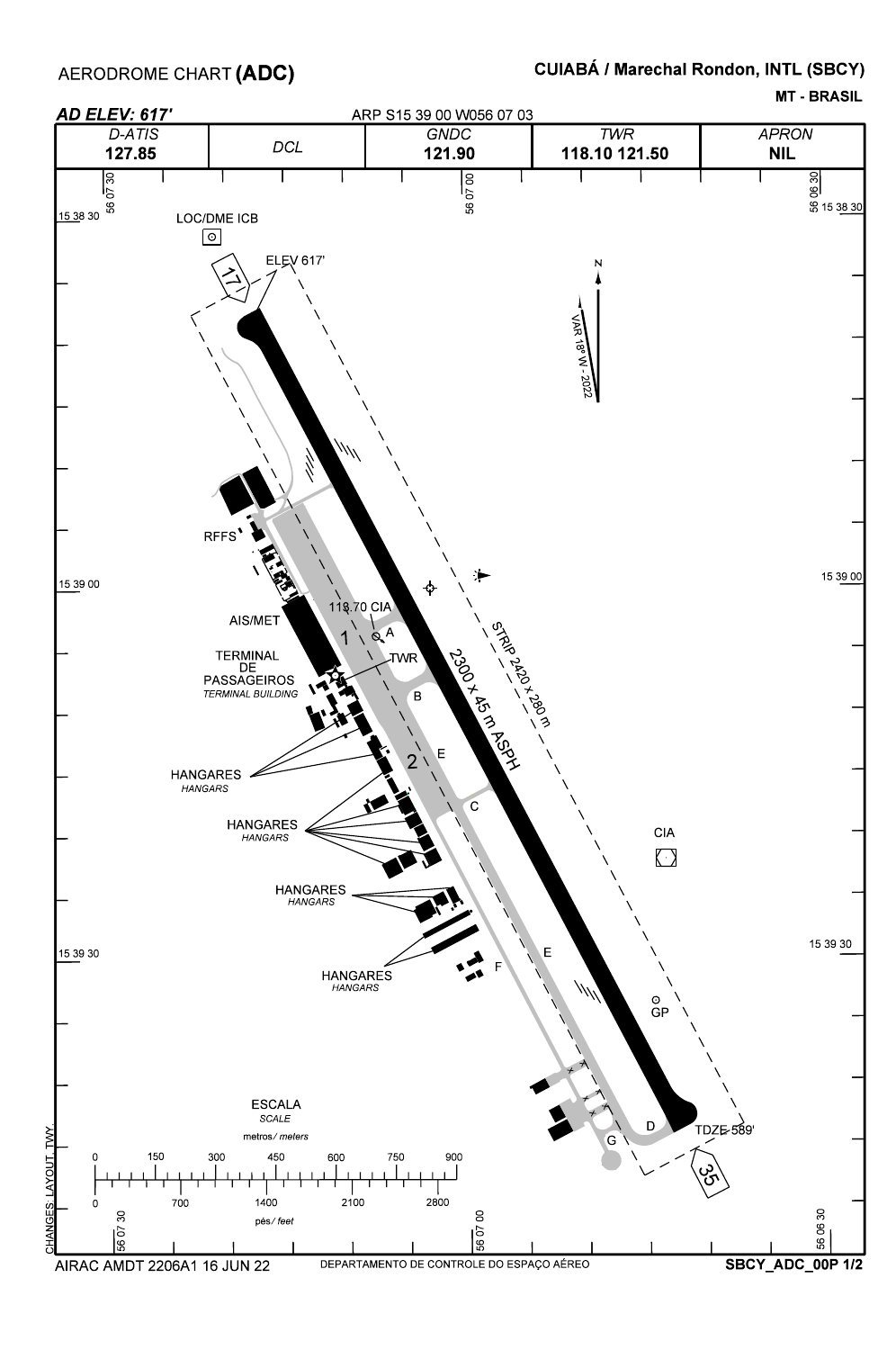MT - BRASIL